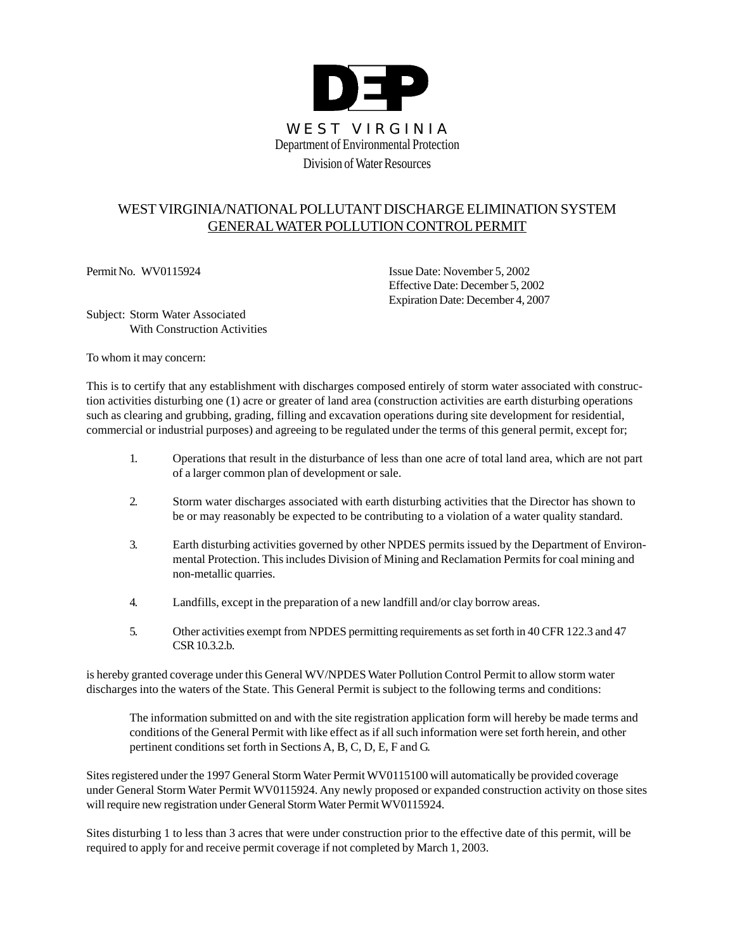

# WEST VIRGINIA/NATIONAL POLLUTANT DISCHARGE ELIMINATION SYSTEM GENERALWATER POLLUTION CONTROL PERMIT

Permit No. WV0115924 Issue Date: November 5, 2002 Effective Date: December 5, 2002 Expiration Date: December 4, 2007

Subject: Storm Water Associated With Construction Activities

To whom it may concern:

This is to certify that any establishment with discharges composed entirely of storm water associated with construction activities disturbing one (1) acre or greater of land area (construction activities are earth disturbing operations such as clearing and grubbing, grading, filling and excavation operations during site development for residential, commercial or industrial purposes) and agreeing to be regulated under the terms of this general permit, except for;

- 1. Operations that result in the disturbance of less than one acre of total land area, which are not part of a larger common plan of development or sale.
- 2. Storm water discharges associated with earth disturbing activities that the Director has shown to be or may reasonably be expected to be contributing to a violation of a water quality standard.
- 3. Earth disturbing activities governed by other NPDES permits issued by the Department of Environmental Protection. This includes Division of Mining and Reclamation Permits for coal mining and non-metallic quarries.
- 4. Landfills, except in the preparation of a new landfill and/or clay borrow areas.
- 5. Other activities exempt from NPDES permitting requirements as set forth in 40 CFR 122.3 and 47 CSR 10.3.2.b.

is hereby granted coverage under this General WV/NPDES Water Pollution Control Permit to allow storm water discharges into the waters of the State. This General Permit is subject to the following terms and conditions:

The information submitted on and with the site registration application form will hereby be made terms and conditions of the General Permit with like effect as if all such information were set forth herein, and other pertinent conditions set forth in Sections A, B, C, D, E, F and G.

Sites registered under the 1997 General Storm Water Permit WV0115100 will automatically be provided coverage under General Storm Water Permit WV0115924. Any newly proposed or expanded construction activity on those sites will require new registration under General Storm Water Permit WV0115924.

Sites disturbing 1 to less than 3 acres that were under construction prior to the effective date of this permit, will be required to apply for and receive permit coverage if not completed by March 1, 2003.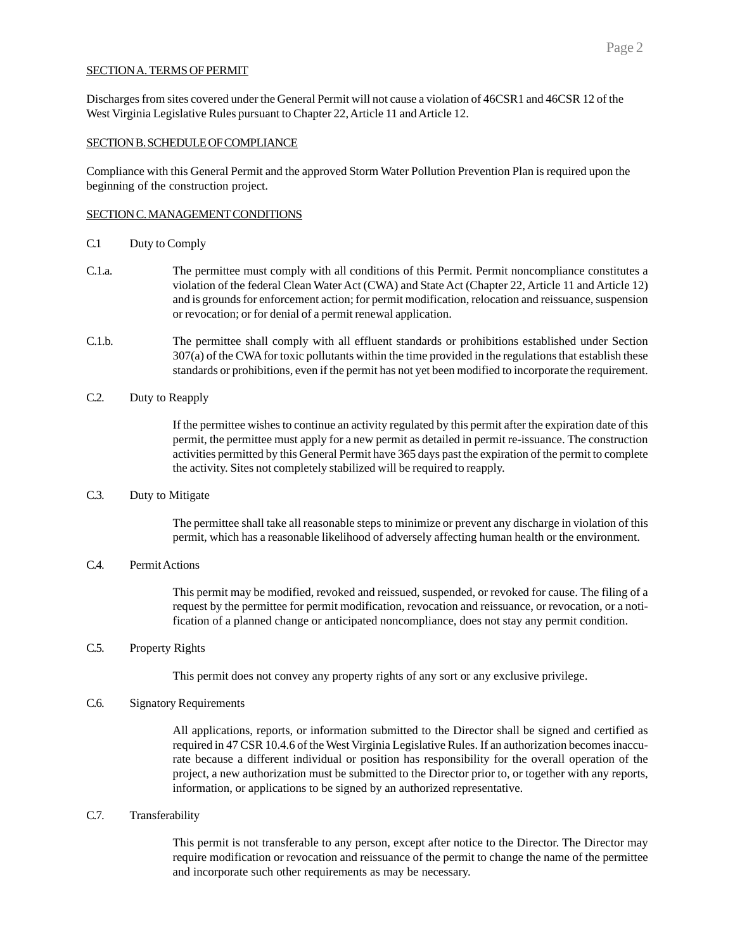#### SECTION A. TERMS OF PERMIT

Discharges from sites covered under the General Permit will not cause a violation of 46CSR1 and 46CSR 12 of the West Virginia Legislative Rules pursuant to Chapter 22, Article 11 and Article 12.

#### SECTION B. SCHEDULE OF COMPLIANCE

Compliance with this General Permit and the approved Storm Water Pollution Prevention Plan is required upon the beginning of the construction project.

#### SECTION C. MANAGEMENT CONDITIONS

- C.1 Duty to Comply
- C.1.a. The permittee must comply with all conditions of this Permit. Permit noncompliance constitutes a violation of the federal Clean Water Act (CWA) and State Act (Chapter 22, Article 11 and Article 12) and is grounds for enforcement action; for permit modification, relocation and reissuance, suspension or revocation; or for denial of a permit renewal application.
- C.1.b. The permittee shall comply with all effluent standards or prohibitions established under Section 307(a) of the CWA for toxic pollutants within the time provided in the regulations that establish these standards or prohibitions, even if the permit has not yet been modified to incorporate the requirement.
- C.2. Duty to Reapply

If the permittee wishes to continue an activity regulated by this permit after the expiration date of this permit, the permittee must apply for a new permit as detailed in permit re-issuance. The construction activities permitted by this General Permit have 365 days past the expiration of the permit to complete the activity. Sites not completely stabilized will be required to reapply.

C.3. Duty to Mitigate

The permittee shall take all reasonable steps to minimize or prevent any discharge in violation of this permit, which has a reasonable likelihood of adversely affecting human health or the environment.

# C.4. Permit Actions

This permit may be modified, revoked and reissued, suspended, or revoked for cause. The filing of a request by the permittee for permit modification, revocation and reissuance, or revocation, or a notification of a planned change or anticipated noncompliance, does not stay any permit condition.

## C.5. Property Rights

This permit does not convey any property rights of any sort or any exclusive privilege.

#### C.6. Signatory Requirements

All applications, reports, or information submitted to the Director shall be signed and certified as required in 47 CSR 10.4.6 of the West Virginia Legislative Rules. If an authorization becomes inaccurate because a different individual or position has responsibility for the overall operation of the project, a new authorization must be submitted to the Director prior to, or together with any reports, information, or applications to be signed by an authorized representative.

C.7. Transferability

This permit is not transferable to any person, except after notice to the Director. The Director may require modification or revocation and reissuance of the permit to change the name of the permittee and incorporate such other requirements as may be necessary.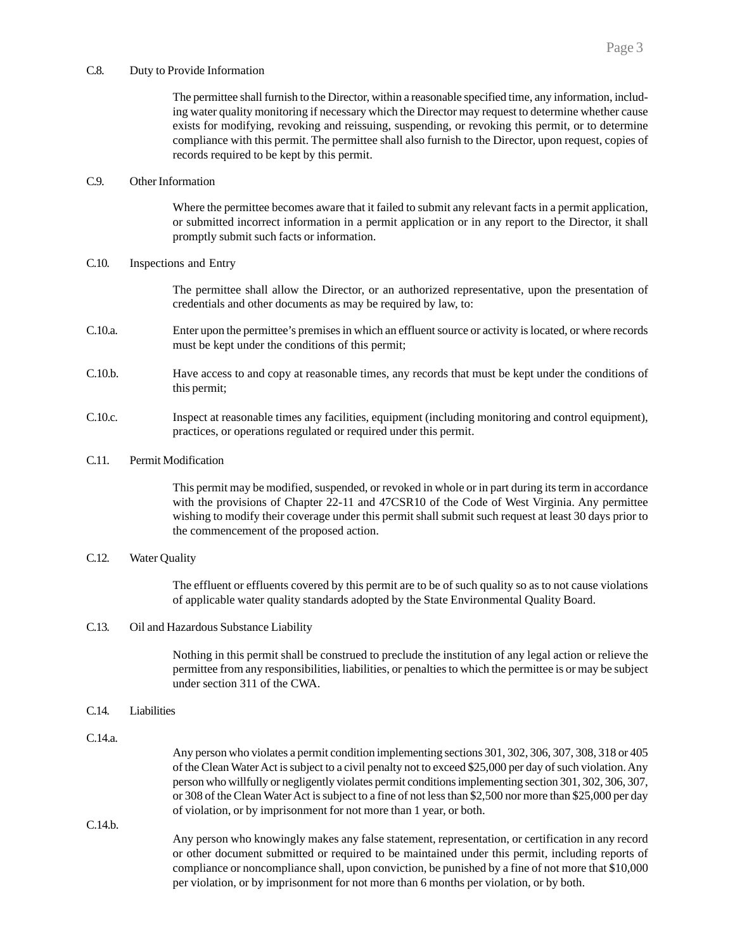#### C.8. Duty to Provide Information

The permittee shall furnish to the Director, within a reasonable specified time, any information, including water quality monitoring if necessary which the Director may request to determine whether cause exists for modifying, revoking and reissuing, suspending, or revoking this permit, or to determine compliance with this permit. The permittee shall also furnish to the Director, upon request, copies of records required to be kept by this permit.

# C.9. Other Information

Where the permittee becomes aware that it failed to submit any relevant facts in a permit application, or submitted incorrect information in a permit application or in any report to the Director, it shall promptly submit such facts or information.

#### C.10. Inspections and Entry

The permittee shall allow the Director, or an authorized representative, upon the presentation of credentials and other documents as may be required by law, to:

- C.10.a. Enter upon the permittee's premises in which an effluent source or activity is located, or where records must be kept under the conditions of this permit;
- C.10.b. Have access to and copy at reasonable times, any records that must be kept under the conditions of this permit;
- C.10.c. Inspect at reasonable times any facilities, equipment (including monitoring and control equipment), practices, or operations regulated or required under this permit.

#### C.11. Permit Modification

This permit may be modified, suspended, or revoked in whole or in part during its term in accordance with the provisions of Chapter 22-11 and 47CSR10 of the Code of West Virginia. Any permittee wishing to modify their coverage under this permit shall submit such request at least 30 days prior to the commencement of the proposed action.

### C.12. Water Quality

The effluent or effluents covered by this permit are to be of such quality so as to not cause violations of applicable water quality standards adopted by the State Environmental Quality Board.

### C.13. Oil and Hazardous Substance Liability

Nothing in this permit shall be construed to preclude the institution of any legal action or relieve the permittee from any responsibilities, liabilities, or penalties to which the permittee is or may be subject under section 311 of the CWA.

### C.14. Liabilities

C.14.a.

Any person who violates a permit condition implementing sections 301, 302, 306, 307, 308, 318 or 405 of the Clean Water Act is subject to a civil penalty not to exceed \$25,000 per day of such violation. Any person who willfully or negligently violates permit conditions implementing section 301, 302, 306, 307, or 308 of the Clean Water Act is subject to a fine of not less than \$2,500 nor more than \$25,000 per day of violation, or by imprisonment for not more than 1 year, or both.

C.14.b.

Any person who knowingly makes any false statement, representation, or certification in any record or other document submitted or required to be maintained under this permit, including reports of compliance or noncompliance shall, upon conviction, be punished by a fine of not more that \$10,000 per violation, or by imprisonment for not more than 6 months per violation, or by both.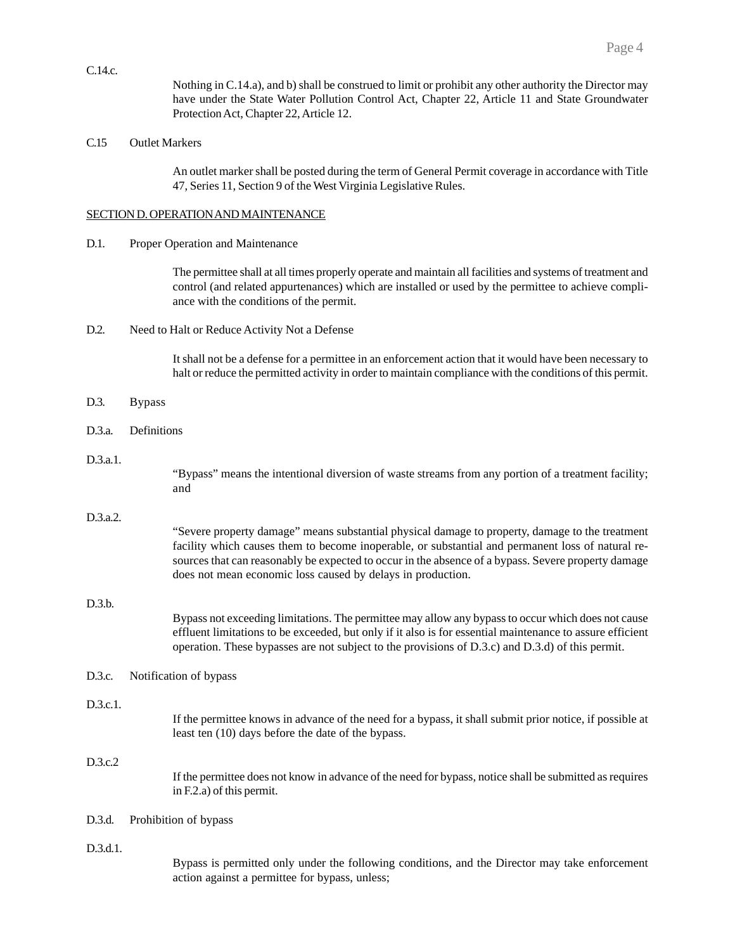Nothing in C.14.a), and b) shall be construed to limit or prohibit any other authority the Director may have under the State Water Pollution Control Act, Chapter 22, Article 11 and State Groundwater Protection Act, Chapter 22, Article 12.

# C.15 Outlet Markers

C.14.c.

An outlet marker shall be posted during the term of General Permit coverage in accordance with Title 47, Series 11, Section 9 of the West Virginia Legislative Rules.

# SECTION D. OPERATION AND MAINTENANCE

### D.1. Proper Operation and Maintenance

The permittee shall at all times properly operate and maintain all facilities and systems of treatment and control (and related appurtenances) which are installed or used by the permittee to achieve compliance with the conditions of the permit.

D.2. Need to Halt or Reduce Activity Not a Defense

It shall not be a defense for a permittee in an enforcement action that it would have been necessary to halt or reduce the permitted activity in order to maintain compliance with the conditions of this permit.

|          |               | an or request the permitted activity in order to maintain compriance with the conditions or time p                                                                                                                                                                                                                                                                         |
|----------|---------------|----------------------------------------------------------------------------------------------------------------------------------------------------------------------------------------------------------------------------------------------------------------------------------------------------------------------------------------------------------------------------|
| D.3.     | <b>Bypass</b> |                                                                                                                                                                                                                                                                                                                                                                            |
| D.3.a.   | Definitions   |                                                                                                                                                                                                                                                                                                                                                                            |
| D.3.a.1. |               | "Bypass" means the intentional diversion of waste streams from any portion of a treatment facility;<br>and                                                                                                                                                                                                                                                                 |
| D.3.a.2. |               | "Severe property damage" means substantial physical damage to property, damage to the treatment<br>facility which causes them to become inoperable, or substantial and permanent loss of natural re-<br>sources that can reasonably be expected to occur in the absence of a bypass. Severe property damage<br>does not mean economic loss caused by delays in production. |
| D.3.b.   |               | Bypass not exceeding limitations. The permittee may allow any bypass to occur which does not cause<br>effluent limitations to be exceeded, but only if it also is for essential maintenance to assure efficient<br>operation. These bypasses are not subject to the provisions of D.3.c) and D.3.d) of this permit.                                                        |
| D.3.c.   |               | Notification of bypass                                                                                                                                                                                                                                                                                                                                                     |
| D.3.c.1. |               | If the permittee knows in advance of the need for a bypass, it shall submit prior notice, if possible at<br>least ten (10) days before the date of the bypass.                                                                                                                                                                                                             |
| D.3.c.2  |               | If the permittee does not know in advance of the need for bypass, notice shall be submitted as requires<br>in F.2.a) of this permit.                                                                                                                                                                                                                                       |
| D.3.d.   |               | Prohibition of bypass                                                                                                                                                                                                                                                                                                                                                      |
| D.3.d.1. |               | Bypass is permitted only under the following conditions, and the Director may take enforcement<br>action against a permittee for bypass, unless;                                                                                                                                                                                                                           |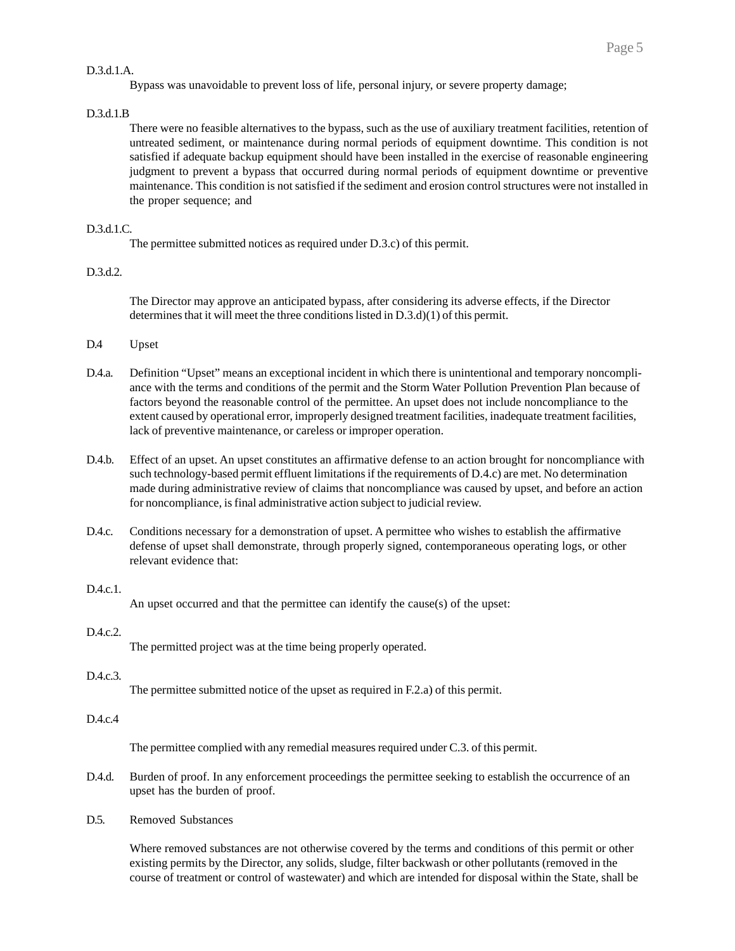#### D.3.d.1.A.

#### D.3.d.1.B

There were no feasible alternatives to the bypass, such as the use of auxiliary treatment facilities, retention of untreated sediment, or maintenance during normal periods of equipment downtime. This condition is not satisfied if adequate backup equipment should have been installed in the exercise of reasonable engineering judgment to prevent a bypass that occurred during normal periods of equipment downtime or preventive maintenance. This condition is not satisfied if the sediment and erosion control structures were not installed in the proper sequence; and

### D.3.d.1.C.

The permittee submitted notices as required under D.3.c) of this permit.

#### D.3.d.2.

The Director may approve an anticipated bypass, after considering its adverse effects, if the Director determines that it will meet the three conditions listed in D.3.d)(1) of this permit.

- D.4 Upset
- D.4.a. Definition "Upset" means an exceptional incident in which there is unintentional and temporary noncompliance with the terms and conditions of the permit and the Storm Water Pollution Prevention Plan because of factors beyond the reasonable control of the permittee. An upset does not include noncompliance to the extent caused by operational error, improperly designed treatment facilities, inadequate treatment facilities, lack of preventive maintenance, or careless or improper operation.
- D.4.b. Effect of an upset. An upset constitutes an affirmative defense to an action brought for noncompliance with such technology-based permit effluent limitations if the requirements of D.4.c) are met. No determination made during administrative review of claims that noncompliance was caused by upset, and before an action for noncompliance, is final administrative action subject to judicial review.
- D.4.c. Conditions necessary for a demonstration of upset. A permittee who wishes to establish the affirmative defense of upset shall demonstrate, through properly signed, contemporaneous operating logs, or other relevant evidence that:

#### D.4.c.1.

An upset occurred and that the permittee can identify the cause(s) of the upset:

### D.4.c.2.

The permitted project was at the time being properly operated.

## D.4.c.3.

The permittee submitted notice of the upset as required in F.2.a) of this permit.

### D.4.c.4

The permittee complied with any remedial measures required under C.3. of this permit.

- D.4.d. Burden of proof. In any enforcement proceedings the permittee seeking to establish the occurrence of an upset has the burden of proof.
- D.5. Removed Substances

Where removed substances are not otherwise covered by the terms and conditions of this permit or other existing permits by the Director, any solids, sludge, filter backwash or other pollutants (removed in the course of treatment or control of wastewater) and which are intended for disposal within the State, shall be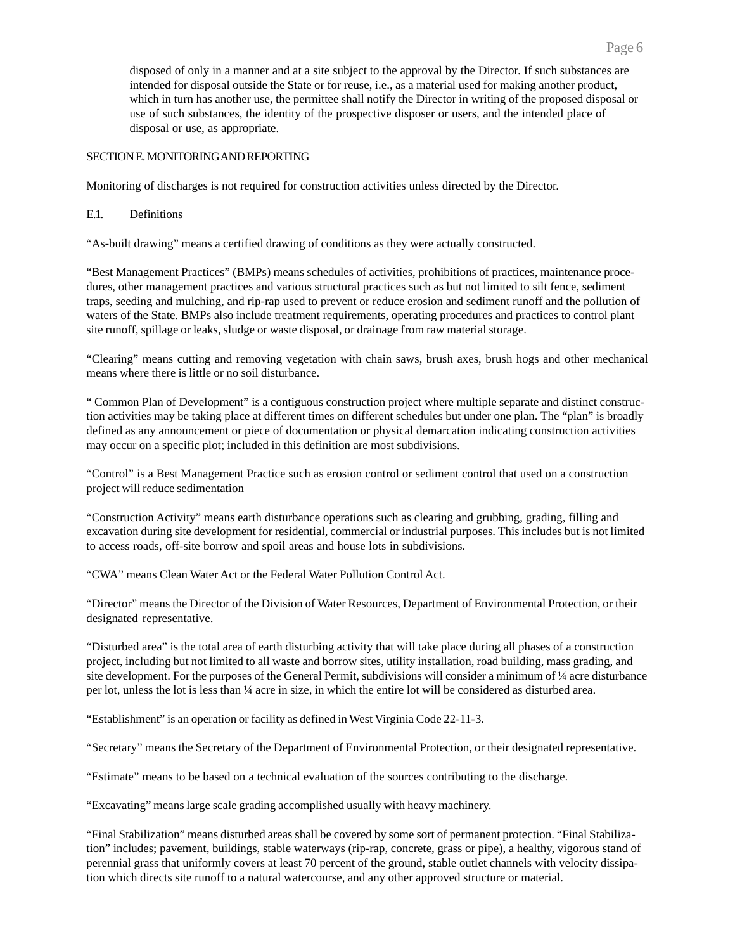disposed of only in a manner and at a site subject to the approval by the Director. If such substances are intended for disposal outside the State or for reuse, i.e., as a material used for making another product, which in turn has another use, the permittee shall notify the Director in writing of the proposed disposal or use of such substances, the identity of the prospective disposer or users, and the intended place of disposal or use, as appropriate.

# SECTION E. MONITORING AND REPORTING

Monitoring of discharges is not required for construction activities unless directed by the Director.

# E.1. Definitions

"As-built drawing" means a certified drawing of conditions as they were actually constructed.

"Best Management Practices" (BMPs) means schedules of activities, prohibitions of practices, maintenance procedures, other management practices and various structural practices such as but not limited to silt fence, sediment traps, seeding and mulching, and rip-rap used to prevent or reduce erosion and sediment runoff and the pollution of waters of the State. BMPs also include treatment requirements, operating procedures and practices to control plant site runoff, spillage or leaks, sludge or waste disposal, or drainage from raw material storage.

"Clearing" means cutting and removing vegetation with chain saws, brush axes, brush hogs and other mechanical means where there is little or no soil disturbance.

" Common Plan of Development" is a contiguous construction project where multiple separate and distinct construction activities may be taking place at different times on different schedules but under one plan. The "plan" is broadly defined as any announcement or piece of documentation or physical demarcation indicating construction activities may occur on a specific plot; included in this definition are most subdivisions.

"Control" is a Best Management Practice such as erosion control or sediment control that used on a construction project will reduce sedimentation

"Construction Activity" means earth disturbance operations such as clearing and grubbing, grading, filling and excavation during site development for residential, commercial or industrial purposes. This includes but is not limited to access roads, off-site borrow and spoil areas and house lots in subdivisions.

"CWA" means Clean Water Act or the Federal Water Pollution Control Act.

"Director" means the Director of the Division of Water Resources, Department of Environmental Protection, or their designated representative.

"Disturbed area" is the total area of earth disturbing activity that will take place during all phases of a construction project, including but not limited to all waste and borrow sites, utility installation, road building, mass grading, and site development. For the purposes of the General Permit, subdivisions will consider a minimum of ¼ acre disturbance per lot, unless the lot is less than ¼ acre in size, in which the entire lot will be considered as disturbed area.

"Establishment" is an operation or facility as defined in West Virginia Code 22-11-3.

"Secretary" means the Secretary of the Department of Environmental Protection, or their designated representative.

"Estimate" means to be based on a technical evaluation of the sources contributing to the discharge.

"Excavating" means large scale grading accomplished usually with heavy machinery.

"Final Stabilization" means disturbed areas shall be covered by some sort of permanent protection. "Final Stabilization" includes; pavement, buildings, stable waterways (rip-rap, concrete, grass or pipe), a healthy, vigorous stand of perennial grass that uniformly covers at least 70 percent of the ground, stable outlet channels with velocity dissipation which directs site runoff to a natural watercourse, and any other approved structure or material.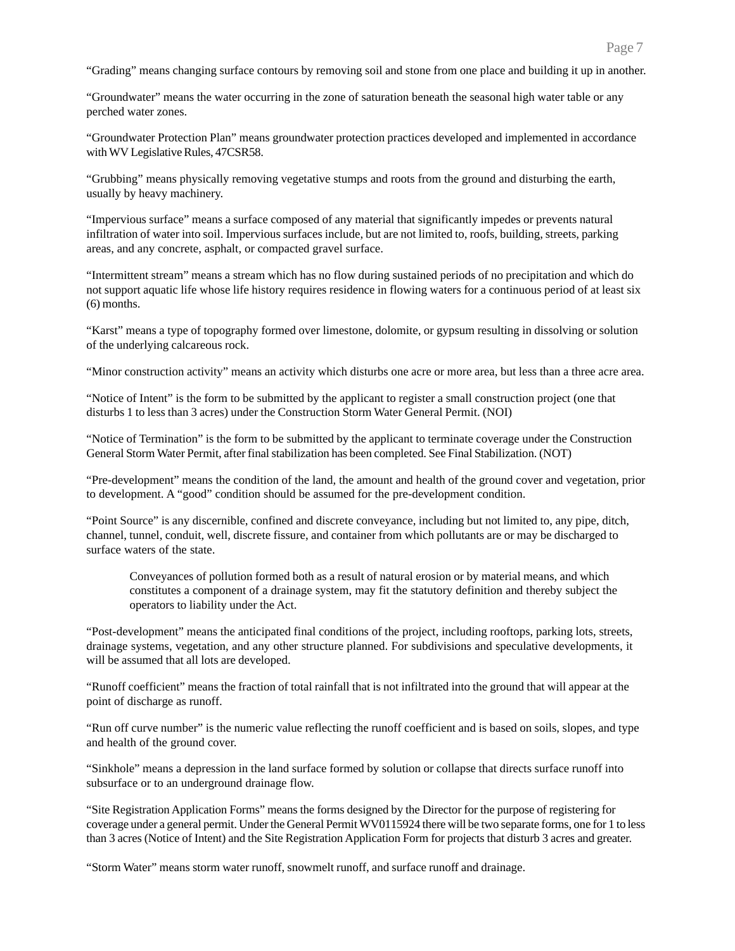"Grading" means changing surface contours by removing soil and stone from one place and building it up in another.

"Groundwater" means the water occurring in the zone of saturation beneath the seasonal high water table or any perched water zones.

"Groundwater Protection Plan" means groundwater protection practices developed and implemented in accordance with WV Legislative Rules, 47CSR58.

"Grubbing" means physically removing vegetative stumps and roots from the ground and disturbing the earth, usually by heavy machinery.

"Impervious surface" means a surface composed of any material that significantly impedes or prevents natural infiltration of water into soil. Impervious surfaces include, but are not limited to, roofs, building, streets, parking areas, and any concrete, asphalt, or compacted gravel surface.

"Intermittent stream" means a stream which has no flow during sustained periods of no precipitation and which do not support aquatic life whose life history requires residence in flowing waters for a continuous period of at least six (6) months.

"Karst" means a type of topography formed over limestone, dolomite, or gypsum resulting in dissolving or solution of the underlying calcareous rock.

"Minor construction activity" means an activity which disturbs one acre or more area, but less than a three acre area.

"Notice of Intent" is the form to be submitted by the applicant to register a small construction project (one that disturbs 1 to less than 3 acres) under the Construction Storm Water General Permit. (NOI)

"Notice of Termination" is the form to be submitted by the applicant to terminate coverage under the Construction General Storm Water Permit, after final stabilization has been completed. See Final Stabilization. (NOT)

"Pre-development" means the condition of the land, the amount and health of the ground cover and vegetation, prior to development. A "good" condition should be assumed for the pre-development condition.

"Point Source" is any discernible, confined and discrete conveyance, including but not limited to, any pipe, ditch, channel, tunnel, conduit, well, discrete fissure, and container from which pollutants are or may be discharged to surface waters of the state.

Conveyances of pollution formed both as a result of natural erosion or by material means, and which constitutes a component of a drainage system, may fit the statutory definition and thereby subject the operators to liability under the Act.

"Post-development" means the anticipated final conditions of the project, including rooftops, parking lots, streets, drainage systems, vegetation, and any other structure planned. For subdivisions and speculative developments, it will be assumed that all lots are developed.

"Runoff coefficient" means the fraction of total rainfall that is not infiltrated into the ground that will appear at the point of discharge as runoff.

"Run off curve number" is the numeric value reflecting the runoff coefficient and is based on soils, slopes, and type and health of the ground cover.

"Sinkhole" means a depression in the land surface formed by solution or collapse that directs surface runoff into subsurface or to an underground drainage flow.

"Site Registration Application Forms" means the forms designed by the Director for the purpose of registering for coverage under a general permit. Under the General Permit WV0115924 there will be two separate forms, one for 1 to less than 3 acres (Notice of Intent) and the Site Registration Application Form for projects that disturb 3 acres and greater.

"Storm Water" means storm water runoff, snowmelt runoff, and surface runoff and drainage.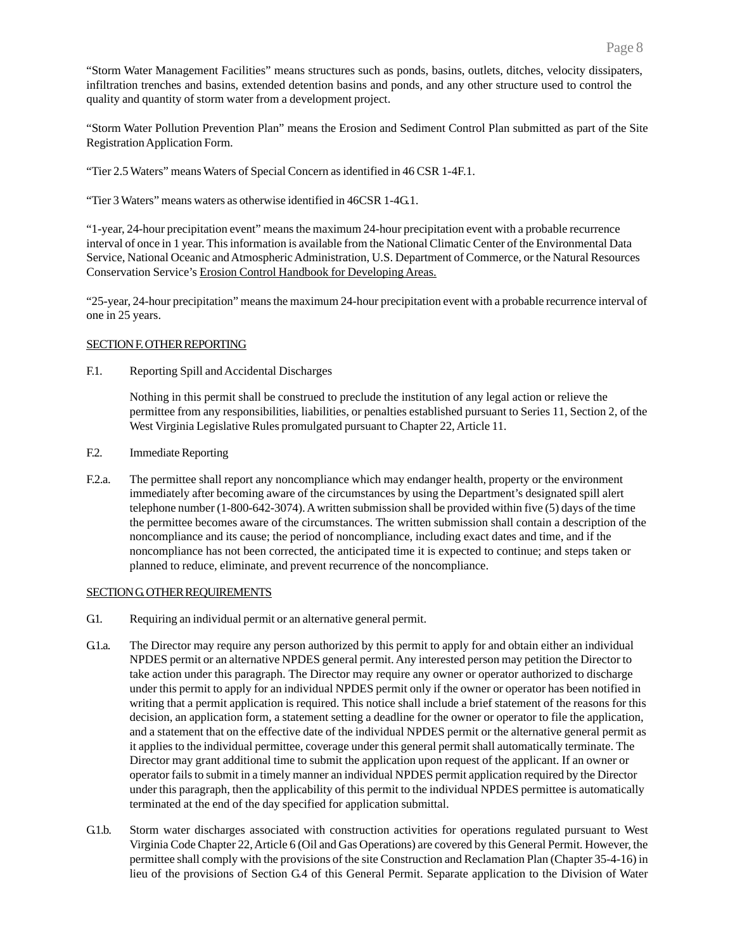"Storm Water Management Facilities" means structures such as ponds, basins, outlets, ditches, velocity dissipaters, infiltration trenches and basins, extended detention basins and ponds, and any other structure used to control the quality and quantity of storm water from a development project.

"Storm Water Pollution Prevention Plan" means the Erosion and Sediment Control Plan submitted as part of the Site Registration Application Form.

"Tier 2.5 Waters" means Waters of Special Concern as identified in 46 CSR 1-4F.1.

"Tier 3 Waters" means waters as otherwise identified in 46CSR 1-4G.1.

"1-year, 24-hour precipitation event" means the maximum 24-hour precipitation event with a probable recurrence interval of once in 1 year. This information is available from the National Climatic Center of the Environmental Data Service, National Oceanic and Atmospheric Administration, U.S. Department of Commerce, or the Natural Resources Conservation Service's Erosion Control Handbook for Developing Areas.

"25-year, 24-hour precipitation" means the maximum 24-hour precipitation event with a probable recurrence interval of one in 25 years.

### SECTION F. OTHER REPORTING

F.1. Reporting Spill and Accidental Discharges

Nothing in this permit shall be construed to preclude the institution of any legal action or relieve the permittee from any responsibilities, liabilities, or penalties established pursuant to Series 11, Section 2, of the West Virginia Legislative Rules promulgated pursuant to Chapter 22, Article 11.

- F.2. Immediate Reporting
- F.2.a. The permittee shall report any noncompliance which may endanger health, property or the environment immediately after becoming aware of the circumstances by using the Department's designated spill alert telephone number (1-800-642-3074). A written submission shall be provided within five (5) days of the time the permittee becomes aware of the circumstances. The written submission shall contain a description of the noncompliance and its cause; the period of noncompliance, including exact dates and time, and if the noncompliance has not been corrected, the anticipated time it is expected to continue; and steps taken or planned to reduce, eliminate, and prevent recurrence of the noncompliance.

### SECTION G. OTHER REQUIREMENTS

- G1. Requiring an individual permit or an alternative general permit.
- G.1.a. The Director may require any person authorized by this permit to apply for and obtain either an individual NPDES permit or an alternative NPDES general permit. Any interested person may petition the Director to take action under this paragraph. The Director may require any owner or operator authorized to discharge under this permit to apply for an individual NPDES permit only if the owner or operator has been notified in writing that a permit application is required. This notice shall include a brief statement of the reasons for this decision, an application form, a statement setting a deadline for the owner or operator to file the application, and a statement that on the effective date of the individual NPDES permit or the alternative general permit as it applies to the individual permittee, coverage under this general permit shall automatically terminate. The Director may grant additional time to submit the application upon request of the applicant. If an owner or operator fails to submit in a timely manner an individual NPDES permit application required by the Director under this paragraph, then the applicability of this permit to the individual NPDES permittee is automatically terminated at the end of the day specified for application submittal.
- G.1.b. Storm water discharges associated with construction activities for operations regulated pursuant to West Virginia Code Chapter 22, Article 6 (Oil and Gas Operations) are covered by this General Permit. However, the permittee shall comply with the provisions of the site Construction and Reclamation Plan (Chapter 35-4-16) in lieu of the provisions of Section G.4 of this General Permit. Separate application to the Division of Water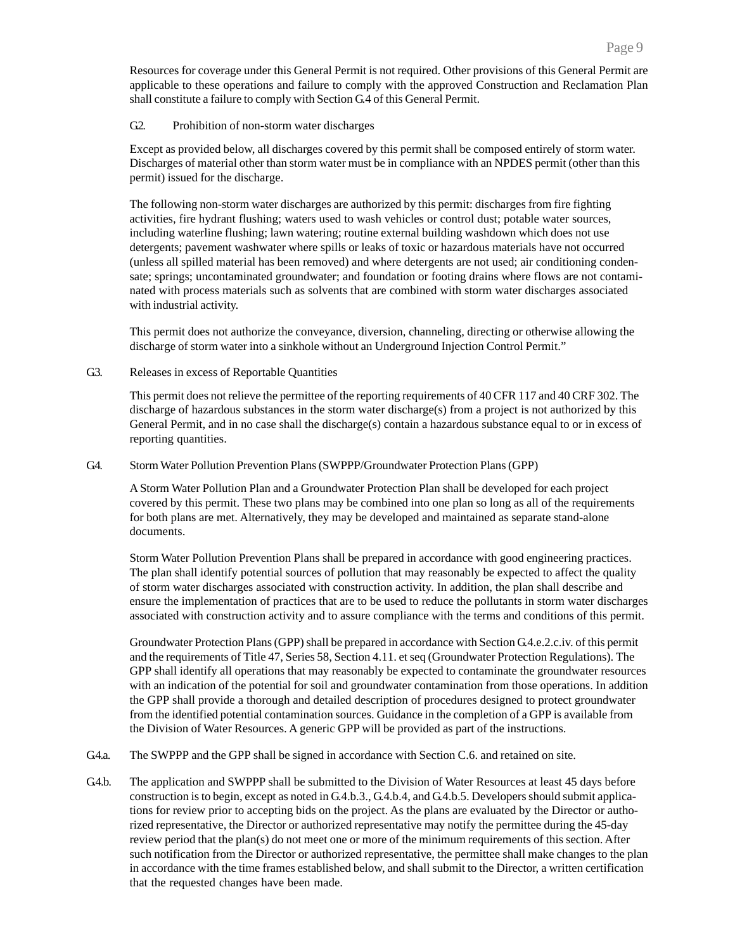Resources for coverage under this General Permit is not required. Other provisions of this General Permit are applicable to these operations and failure to comply with the approved Construction and Reclamation Plan shall constitute a failure to comply with Section G.4 of this General Permit.

### G2. Prohibition of non-storm water discharges

Except as provided below, all discharges covered by this permit shall be composed entirely of storm water. Discharges of material other than storm water must be in compliance with an NPDES permit (other than this permit) issued for the discharge.

The following non-storm water discharges are authorized by this permit: discharges from fire fighting activities, fire hydrant flushing; waters used to wash vehicles or control dust; potable water sources, including waterline flushing; lawn watering; routine external building washdown which does not use detergents; pavement washwater where spills or leaks of toxic or hazardous materials have not occurred (unless all spilled material has been removed) and where detergents are not used; air conditioning condensate; springs; uncontaminated groundwater; and foundation or footing drains where flows are not contaminated with process materials such as solvents that are combined with storm water discharges associated with industrial activity.

This permit does not authorize the conveyance, diversion, channeling, directing or otherwise allowing the discharge of storm water into a sinkhole without an Underground Injection Control Permit."

G3. Releases in excess of Reportable Quantities

This permit does not relieve the permittee of the reporting requirements of 40 CFR 117 and 40 CRF 302. The discharge of hazardous substances in the storm water discharge(s) from a project is not authorized by this General Permit, and in no case shall the discharge(s) contain a hazardous substance equal to or in excess of reporting quantities.

### G.4. Storm Water Pollution Prevention Plans (SWPPP/Groundwater Protection Plans (GPP)

A Storm Water Pollution Plan and a Groundwater Protection Plan shall be developed for each project covered by this permit. These two plans may be combined into one plan so long as all of the requirements for both plans are met. Alternatively, they may be developed and maintained as separate stand-alone documents.

Storm Water Pollution Prevention Plans shall be prepared in accordance with good engineering practices. The plan shall identify potential sources of pollution that may reasonably be expected to affect the quality of storm water discharges associated with construction activity. In addition, the plan shall describe and ensure the implementation of practices that are to be used to reduce the pollutants in storm water discharges associated with construction activity and to assure compliance with the terms and conditions of this permit.

Groundwater Protection Plans (GPP) shall be prepared in accordance with Section G.4.e.2.c.iv. of this permit and the requirements of Title 47, Series 58, Section 4.11. et seq (Groundwater Protection Regulations). The GPP shall identify all operations that may reasonably be expected to contaminate the groundwater resources with an indication of the potential for soil and groundwater contamination from those operations. In addition the GPP shall provide a thorough and detailed description of procedures designed to protect groundwater from the identified potential contamination sources. Guidance in the completion of a GPP is available from the Division of Water Resources. A generic GPP will be provided as part of the instructions.

- G.4.a. The SWPPP and the GPP shall be signed in accordance with Section C.6. and retained on site.
- G.4.b. The application and SWPPP shall be submitted to the Division of Water Resources at least 45 days before construction is to begin, except as noted in G.4.b.3., G.4.b.4, and G.4.b.5. Developers should submit applications for review prior to accepting bids on the project. As the plans are evaluated by the Director or authorized representative, the Director or authorized representative may notify the permittee during the 45-day review period that the plan(s) do not meet one or more of the minimum requirements of this section. After such notification from the Director or authorized representative, the permittee shall make changes to the plan in accordance with the time frames established below, and shall submit to the Director, a written certification that the requested changes have been made.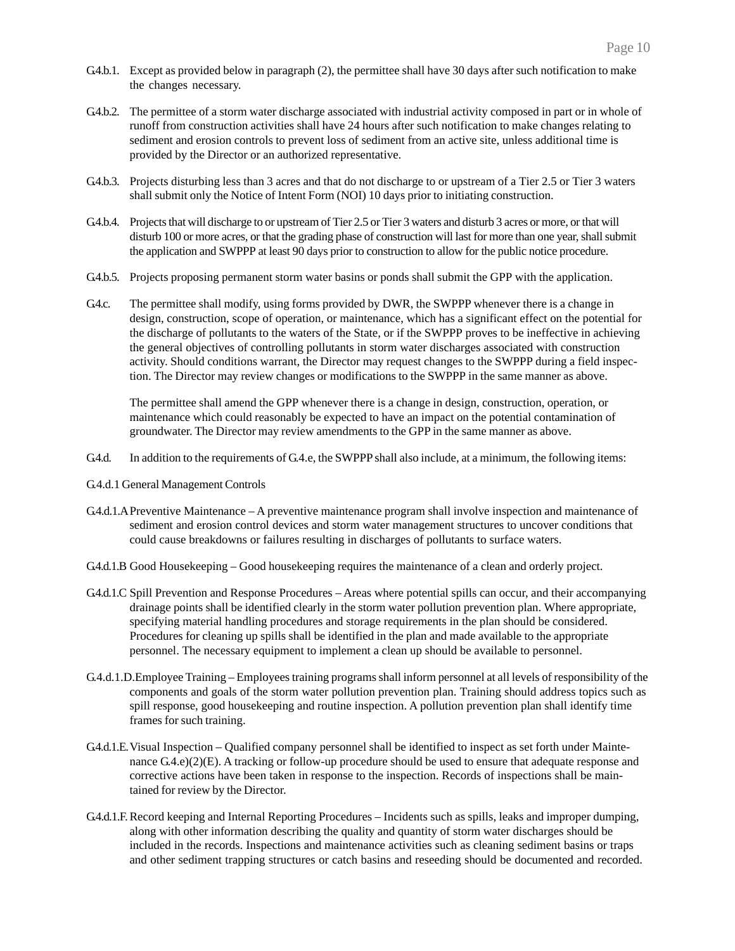- G.4.b.1. Except as provided below in paragraph (2), the permittee shall have 30 days after such notification to make the changes necessary.
- G.4.b.2. The permittee of a storm water discharge associated with industrial activity composed in part or in whole of runoff from construction activities shall have 24 hours after such notification to make changes relating to sediment and erosion controls to prevent loss of sediment from an active site, unless additional time is provided by the Director or an authorized representative.
- G.4b.3. Projects disturbing less than 3 acres and that do not discharge to or upstream of a Tier 2.5 or Tier 3 waters shall submit only the Notice of Intent Form (NOI) 10 days prior to initiating construction.
- G.4.b.4. Projects that will discharge to or upstream of Tier 2.5 or Tier 3 waters and disturb 3 acres or more, or that will disturb 100 or more acres, or that the grading phase of construction will last for more than one year, shall submit the application and SWPPP at least 90 days prior to construction to allow for the public notice procedure.
- G.4.b.5. Projects proposing permanent storm water basins or ponds shall submit the GPP with the application.
- G4.c. The permittee shall modify, using forms provided by DWR, the SWPPP whenever there is a change in design, construction, scope of operation, or maintenance, which has a significant effect on the potential for the discharge of pollutants to the waters of the State, or if the SWPPP proves to be ineffective in achieving the general objectives of controlling pollutants in storm water discharges associated with construction activity. Should conditions warrant, the Director may request changes to the SWPPP during a field inspection. The Director may review changes or modifications to the SWPPP in the same manner as above.

The permittee shall amend the GPP whenever there is a change in design, construction, operation, or maintenance which could reasonably be expected to have an impact on the potential contamination of groundwater. The Director may review amendments to the GPP in the same manner as above.

- G.4.d. In addition to the requirements of G.4.e, the SWPPP shall also include, at a minimum, the following items:
- G.4.d.1 General Management Controls
- G.4.d.1.APreventive Maintenance A preventive maintenance program shall involve inspection and maintenance of sediment and erosion control devices and storm water management structures to uncover conditions that could cause breakdowns or failures resulting in discharges of pollutants to surface waters.
- G.4.d.1.B Good Housekeeping Good housekeeping requires the maintenance of a clean and orderly project.
- G4.d.1.C Spill Prevention and Response Procedures Areas where potential spills can occur, and their accompanying drainage points shall be identified clearly in the storm water pollution prevention plan. Where appropriate, specifying material handling procedures and storage requirements in the plan should be considered. Procedures for cleaning up spills shall be identified in the plan and made available to the appropriate personnel. The necessary equipment to implement a clean up should be available to personnel.
- G.4.d.1.D.Employee Training Employees training programs shall inform personnel at all levels of responsibility of the components and goals of the storm water pollution prevention plan. Training should address topics such as spill response, good housekeeping and routine inspection. A pollution prevention plan shall identify time frames for such training.
- G.4.d.1.E.Visual Inspection Qualified company personnel shall be identified to inspect as set forth under Maintenance G.4.e)(2)(E). A tracking or follow-up procedure should be used to ensure that adequate response and corrective actions have been taken in response to the inspection. Records of inspections shall be maintained for review by the Director.
- G.4.d.1.F.Record keeping and Internal Reporting Procedures Incidents such as spills, leaks and improper dumping, along with other information describing the quality and quantity of storm water discharges should be included in the records. Inspections and maintenance activities such as cleaning sediment basins or traps and other sediment trapping structures or catch basins and reseeding should be documented and recorded.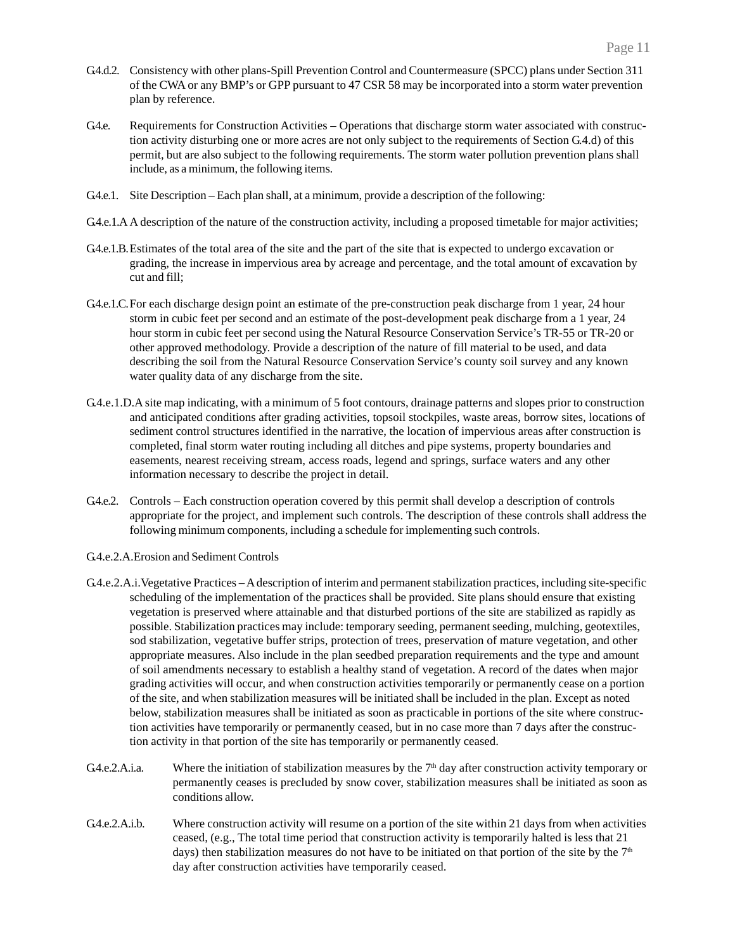- G.4.d.2. Consistency with other plans-Spill Prevention Control and Countermeasure (SPCC) plans under Section 311 of the CWA or any BMP's or GPP pursuant to 47 CSR 58 may be incorporated into a storm water prevention plan by reference.
- G4.e. Requirements for Construction Activities Operations that discharge storm water associated with construction activity disturbing one or more acres are not only subject to the requirements of Section G.4.d) of this permit, but are also subject to the following requirements. The storm water pollution prevention plans shall include, as a minimum, the following items.
- G.4.e.1. Site Description Each plan shall, at a minimum, provide a description of the following:
- G.4.e.1.A A description of the nature of the construction activity, including a proposed timetable for major activities;
- G.4.e.1.B. Estimates of the total area of the site and the part of the site that is expected to undergo excavation or grading, the increase in impervious area by acreage and percentage, and the total amount of excavation by cut and fill;
- G4.e.1.C. For each discharge design point an estimate of the pre-construction peak discharge from 1 year, 24 hour storm in cubic feet per second and an estimate of the post-development peak discharge from a 1 year, 24 hour storm in cubic feet per second using the Natural Resource Conservation Service's TR-55 or TR-20 or other approved methodology. Provide a description of the nature of fill material to be used, and data describing the soil from the Natural Resource Conservation Service's county soil survey and any known water quality data of any discharge from the site.
- G.4.e.1.D.A site map indicating, with a minimum of 5 foot contours, drainage patterns and slopes prior to construction and anticipated conditions after grading activities, topsoil stockpiles, waste areas, borrow sites, locations of sediment control structures identified in the narrative, the location of impervious areas after construction is completed, final storm water routing including all ditches and pipe systems, property boundaries and easements, nearest receiving stream, access roads, legend and springs, surface waters and any other information necessary to describe the project in detail.
- G4.e.2. Controls Each construction operation covered by this permit shall develop a description of controls appropriate for the project, and implement such controls. The description of these controls shall address the following minimum components, including a schedule for implementing such controls.
- G.4.e.2.A.Erosion and Sediment Controls
- G.4.e.2.A.i.Vegetative Practices A description of interim and permanent stabilization practices, including site-specific scheduling of the implementation of the practices shall be provided. Site plans should ensure that existing vegetation is preserved where attainable and that disturbed portions of the site are stabilized as rapidly as possible. Stabilization practices may include: temporary seeding, permanent seeding, mulching, geotextiles, sod stabilization, vegetative buffer strips, protection of trees, preservation of mature vegetation, and other appropriate measures. Also include in the plan seedbed preparation requirements and the type and amount of soil amendments necessary to establish a healthy stand of vegetation. A record of the dates when major grading activities will occur, and when construction activities temporarily or permanently cease on a portion of the site, and when stabilization measures will be initiated shall be included in the plan. Except as noted below, stabilization measures shall be initiated as soon as practicable in portions of the site where construction activities have temporarily or permanently ceased, but in no case more than 7 days after the construction activity in that portion of the site has temporarily or permanently ceased.
- G.4.e.2.A.i.a. Where the initiation of stabilization measures by the  $7<sup>th</sup>$  day after construction activity temporary or permanently ceases is precluded by snow cover, stabilization measures shall be initiated as soon as conditions allow.
- G.4.e.2.A.i.b. Where construction activity will resume on a portion of the site within 21 days from when activities ceased, (e.g., The total time period that construction activity is temporarily halted is less that 21 days) then stabilization measures do not have to be initiated on that portion of the site by the  $7<sup>th</sup>$ day after construction activities have temporarily ceased.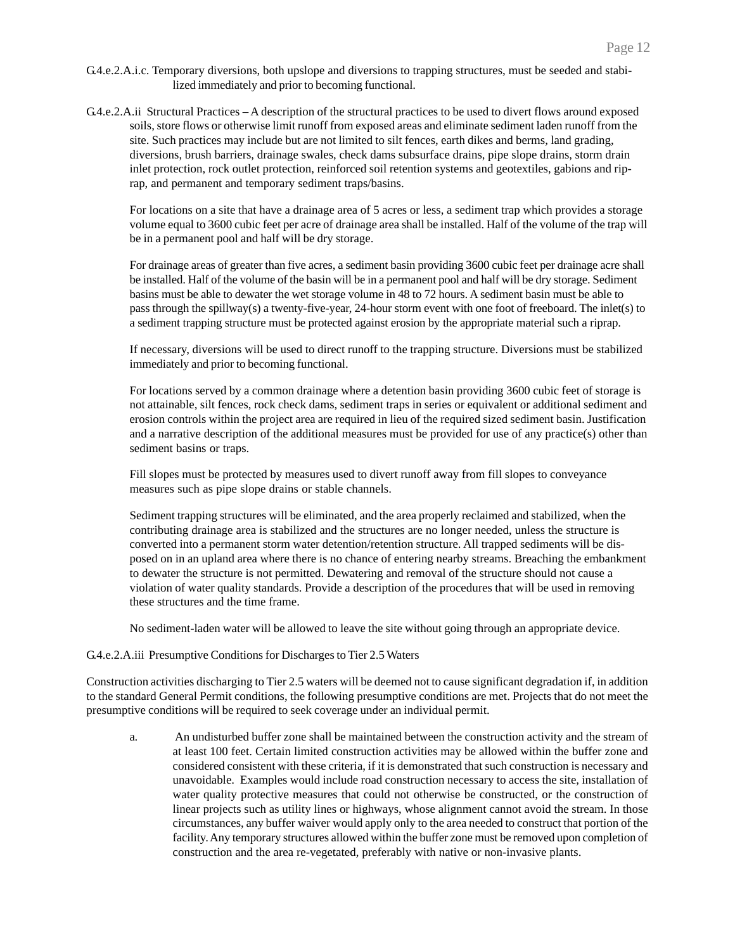- G.4.e.2.A.i.c. Temporary diversions, both upslope and diversions to trapping structures, must be seeded and stabilized immediately and prior to becoming functional.
- G.4.e.2.A.ii Structural Practices A description of the structural practices to be used to divert flows around exposed soils, store flows or otherwise limit runoff from exposed areas and eliminate sediment laden runoff from the site. Such practices may include but are not limited to silt fences, earth dikes and berms, land grading, diversions, brush barriers, drainage swales, check dams subsurface drains, pipe slope drains, storm drain inlet protection, rock outlet protection, reinforced soil retention systems and geotextiles, gabions and riprap, and permanent and temporary sediment traps/basins.

For locations on a site that have a drainage area of 5 acres or less, a sediment trap which provides a storage volume equal to 3600 cubic feet per acre of drainage area shall be installed. Half of the volume of the trap will be in a permanent pool and half will be dry storage.

For drainage areas of greater than five acres, a sediment basin providing 3600 cubic feet per drainage acre shall be installed. Half of the volume of the basin will be in a permanent pool and half will be dry storage. Sediment basins must be able to dewater the wet storage volume in 48 to 72 hours. A sediment basin must be able to pass through the spillway(s) a twenty-five-year, 24-hour storm event with one foot of freeboard. The inlet(s) to a sediment trapping structure must be protected against erosion by the appropriate material such a riprap.

If necessary, diversions will be used to direct runoff to the trapping structure. Diversions must be stabilized immediately and prior to becoming functional.

For locations served by a common drainage where a detention basin providing 3600 cubic feet of storage is not attainable, silt fences, rock check dams, sediment traps in series or equivalent or additional sediment and erosion controls within the project area are required in lieu of the required sized sediment basin. Justification and a narrative description of the additional measures must be provided for use of any practice(s) other than sediment basins or traps.

Fill slopes must be protected by measures used to divert runoff away from fill slopes to conveyance measures such as pipe slope drains or stable channels.

Sediment trapping structures will be eliminated, and the area properly reclaimed and stabilized, when the contributing drainage area is stabilized and the structures are no longer needed, unless the structure is converted into a permanent storm water detention/retention structure. All trapped sediments will be disposed on in an upland area where there is no chance of entering nearby streams. Breaching the embankment to dewater the structure is not permitted. Dewatering and removal of the structure should not cause a violation of water quality standards. Provide a description of the procedures that will be used in removing these structures and the time frame.

No sediment-laden water will be allowed to leave the site without going through an appropriate device.

### G.4.e.2.A.iii Presumptive Conditions for Discharges to Tier 2.5 Waters

Construction activities discharging to Tier 2.5 waters will be deemed not to cause significant degradation if, in addition to the standard General Permit conditions, the following presumptive conditions are met. Projects that do not meet the presumptive conditions will be required to seek coverage under an individual permit.

a. An undisturbed buffer zone shall be maintained between the construction activity and the stream of at least 100 feet. Certain limited construction activities may be allowed within the buffer zone and considered consistent with these criteria, if it is demonstrated that such construction is necessary and unavoidable. Examples would include road construction necessary to access the site, installation of water quality protective measures that could not otherwise be constructed, or the construction of linear projects such as utility lines or highways, whose alignment cannot avoid the stream. In those circumstances, any buffer waiver would apply only to the area needed to construct that portion of the facility. Any temporary structures allowed within the buffer zone must be removed upon completion of construction and the area re-vegetated, preferably with native or non-invasive plants.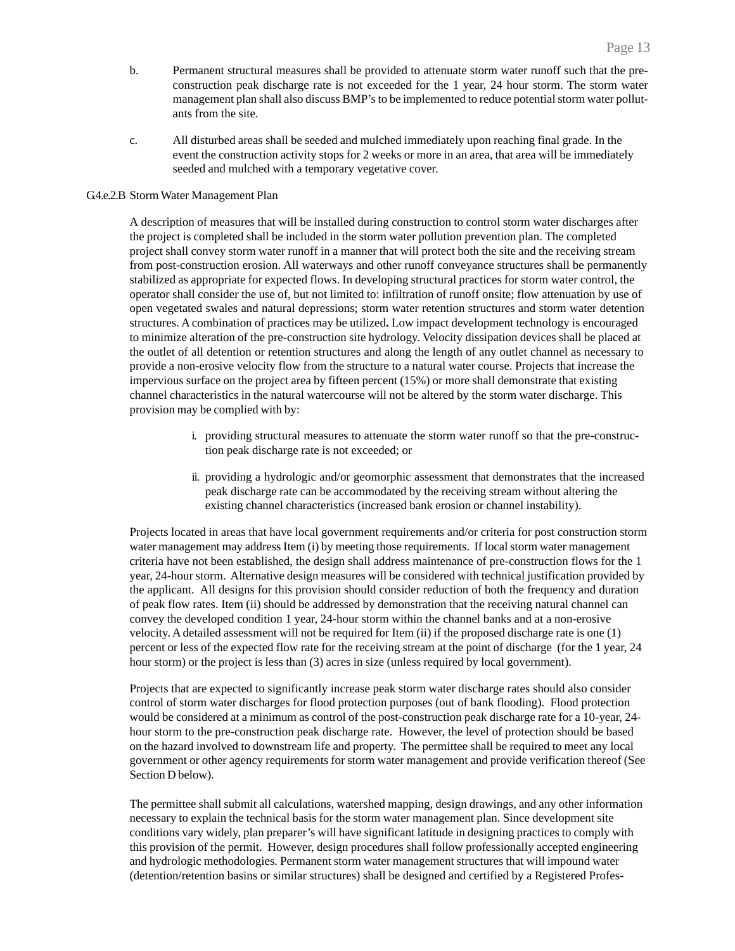- b. Permanent structural measures shall be provided to attenuate storm water runoff such that the preconstruction peak discharge rate is not exceeded for the 1 year, 24 hour storm. The storm water management plan shall also discuss BMP's to be implemented to reduce potential storm water pollutants from the site.
- c. All disturbed areas shall be seeded and mulched immediately upon reaching final grade. In the event the construction activity stops for 2 weeks or more in an area, that area will be immediately seeded and mulched with a temporary vegetative cover.

#### G4.e.2.B Storm Water Management Plan

A description of measures that will be installed during construction to control storm water discharges after the project is completed shall be included in the storm water pollution prevention plan. The completed project shall convey storm water runoff in a manner that will protect both the site and the receiving stream from post-construction erosion. All waterways and other runoff conveyance structures shall be permanently stabilized as appropriate for expected flows. In developing structural practices for storm water control, the operator shall consider the use of, but not limited to: infiltration of runoff onsite; flow attenuation by use of open vegetated swales and natural depressions; storm water retention structures and storm water detention structures. A combination of practices may be utilized**.** Low impact development technology is encouraged to minimize alteration of the pre-construction site hydrology. Velocity dissipation devices shall be placed at the outlet of all detention or retention structures and along the length of any outlet channel as necessary to provide a non-erosive velocity flow from the structure to a natural water course. Projects that increase the impervious surface on the project area by fifteen percent (15%) or more shall demonstrate that existing channel characteristics in the natural watercourse will not be altered by the storm water discharge. This provision may be complied with by:

- i. providing structural measures to attenuate the storm water runoff so that the pre-construction peak discharge rate is not exceeded; or
- ii. providing a hydrologic and/or geomorphic assessment that demonstrates that the increased peak discharge rate can be accommodated by the receiving stream without altering the existing channel characteristics (increased bank erosion or channel instability).

Projects located in areas that have local government requirements and/or criteria for post construction storm water management may address Item (i) by meeting those requirements. If local storm water management criteria have not been established, the design shall address maintenance of pre-construction flows for the 1 year, 24-hour storm. Alternative design measures will be considered with technical justification provided by the applicant. All designs for this provision should consider reduction of both the frequency and duration of peak flow rates. Item (ii) should be addressed by demonstration that the receiving natural channel can convey the developed condition 1 year, 24-hour storm within the channel banks and at a non-erosive velocity. A detailed assessment will not be required for Item (ii) if the proposed discharge rate is one (1) percent or less of the expected flow rate for the receiving stream at the point of discharge (for the 1 year, 24 hour storm) or the project is less than (3) acres in size (unless required by local government).

Projects that are expected to significantly increase peak storm water discharge rates should also consider control of storm water discharges for flood protection purposes (out of bank flooding). Flood protection would be considered at a minimum as control of the post-construction peak discharge rate for a 10-year, 24 hour storm to the pre-construction peak discharge rate. However, the level of protection should be based on the hazard involved to downstream life and property. The permittee shall be required to meet any local government or other agency requirements for storm water management and provide verification thereof (See Section D below).

The permittee shall submit all calculations, watershed mapping, design drawings, and any other information necessary to explain the technical basis for the storm water management plan. Since development site conditions vary widely, plan preparer's will have significant latitude in designing practices to comply with this provision of the permit. However, design procedures shall follow professionally accepted engineering and hydrologic methodologies. Permanent storm water management structures that will impound water (detention/retention basins or similar structures) shall be designed and certified by a Registered Profes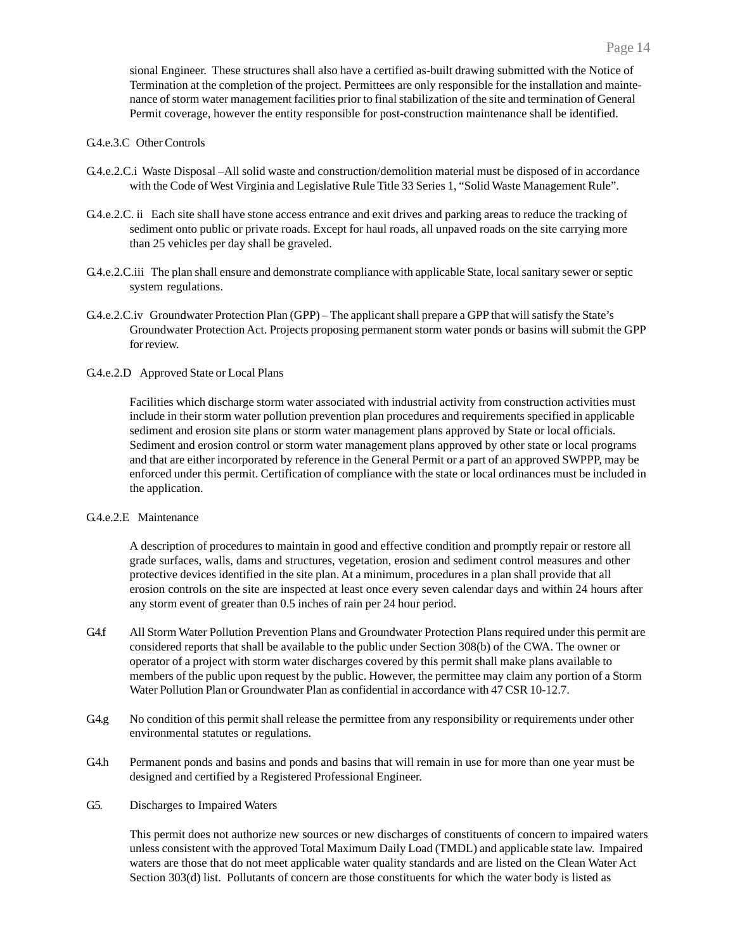sional Engineer. These structures shall also have a certified as-built drawing submitted with the Notice of Termination at the completion of the project. Permittees are only responsible for the installation and maintenance of storm water management facilities prior to final stabilization of the site and termination of General Permit coverage, however the entity responsible for post-construction maintenance shall be identified.

### G.4.e.3.C Other Controls

- G.4.e.2.C.i Waste Disposal –All solid waste and construction/demolition material must be disposed of in accordance with the Code of West Virginia and Legislative Rule Title 33 Series 1, "Solid Waste Management Rule".
- G.4.e.2.C. ii Each site shall have stone access entrance and exit drives and parking areas to reduce the tracking of sediment onto public or private roads. Except for haul roads, all unpaved roads on the site carrying more than 25 vehicles per day shall be graveled.
- G.4.e.2.C.iii The plan shall ensure and demonstrate compliance with applicable State, local sanitary sewer or septic system regulations.
- G.4.e.2.C.iv Groundwater Protection Plan (GPP) The applicant shall prepare a GPP that will satisfy the State's Groundwater Protection Act. Projects proposing permanent storm water ponds or basins will submit the GPP for review.
- G.4.e.2.D Approved State or Local Plans

Facilities which discharge storm water associated with industrial activity from construction activities must include in their storm water pollution prevention plan procedures and requirements specified in applicable sediment and erosion site plans or storm water management plans approved by State or local officials. Sediment and erosion control or storm water management plans approved by other state or local programs and that are either incorporated by reference in the General Permit or a part of an approved SWPPP, may be enforced under this permit. Certification of compliance with the state or local ordinances must be included in the application.

# G.4.e.2.E Maintenance

A description of procedures to maintain in good and effective condition and promptly repair or restore all grade surfaces, walls, dams and structures, vegetation, erosion and sediment control measures and other protective devices identified in the site plan. At a minimum, procedures in a plan shall provide that all erosion controls on the site are inspected at least once every seven calendar days and within 24 hours after any storm event of greater than 0.5 inches of rain per 24 hour period.

- G4.f All Storm Water Pollution Prevention Plans and Groundwater Protection Plans required under this permit are considered reports that shall be available to the public under Section 308(b) of the CWA. The owner or operator of a project with storm water discharges covered by this permit shall make plans available to members of the public upon request by the public. However, the permittee may claim any portion of a Storm Water Pollution Plan or Groundwater Plan as confidential in accordance with 47 CSR 10-12.7.
- G4.g No condition of this permit shall release the permittee from any responsibility or requirements under other environmental statutes or regulations.
- G.4.h Permanent ponds and basins and ponds and basins that will remain in use for more than one year must be designed and certified by a Registered Professional Engineer.
- G5. Discharges to Impaired Waters

This permit does not authorize new sources or new discharges of constituents of concern to impaired waters unless consistent with the approved Total Maximum Daily Load (TMDL) and applicable state law. Impaired waters are those that do not meet applicable water quality standards and are listed on the Clean Water Act Section 303(d) list. Pollutants of concern are those constituents for which the water body is listed as